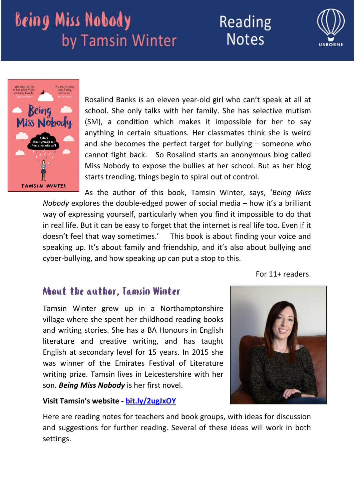## Reading **Notes**





Rosalind Banks is an eleven year‐old girl who can't speak at all at school. She only talks with her family. She has selective mutism (SM), a condition which makes it impossible for her to say anything in certain situations. Her classmates think she is weird and she becomes the perfect target for bullying – someone who cannot fight back. So Rosalind starts an anonymous blog called Miss Nobody to expose the bullies at her school. But as her blog starts trending, things begin to spiral out of control.

As the author of this book, Tamsin Winter, says, '*Being Miss Nobody* explores the double-edged power of social media – how it's a brilliant way of expressing yourself, particularly when you find it impossible to do that in real life. But it can be easy to forget that the internet is real life too. Even if it doesn't feel that way sometimes.' This book is about finding your voice and speaking up. It's about family and friendship, and it's also about bullying and cyber-bullying, and how speaking up can put a stop to this.

For 11+ readers.

### About the author, Tamsin Winter

Tamsin Winter grew up in a Northamptonshire village where she spent her childhood reading books and writing stories. She has a BA Honours in English literature and creative writing, and has taught English at secondary level for 15 years. In 2015 she was winner of the Emirates Festival of Literature writing prize. Tamsin lives in Leicestershire with her son. *Being Miss Nobody* is her first novel.

#### **Visit Tamsin's website ‐ bit.ly/2ugJxOY**



Here are reading notes for teachers and book groups, with ideas for discussion and suggestions for further reading. Several of these ideas will work in both settings.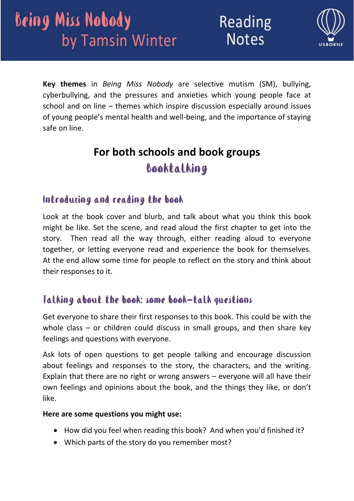

**Key themes** in *Being Miss Nobody* are selective mutism (SM), bullying, cyberbullying, and the pressures and anxieties which young people face at school and on line – themes which inspire discussion especially around issues of young people's mental health and well‐being, and the importance of staying safe on line.

## **For both schools and book groups** Booktalking

### Introducing and reading the book

Look at the book cover and blurb, and talk about what you think this book might be like. Set the scene, and read aloud the first chapter to get into the story. Then read all the way through, either reading aloud to everyone together, or letting everyone read and experience the book for themselves. At the end allow some time for people to reflect on the story and think about their responses to it.

### Talking about the book: some book-talk questions

Get everyone to share their first responses to this book. This could be with the whole class – or children could discuss in small groups, and then share key feelings and questions with everyone.

Ask lots of open questions to get people talking and encourage discussion about feelings and responses to the story, the characters, and the writing. Explain that there are no right or wrong answers – everyone will all have their own feelings and opinions about the book, and the things they like, or don't like.

#### **Here are some questions you might use:**

- How did you feel when reading this book? And when you'd finished it?
- Which parts of the story do you remember most?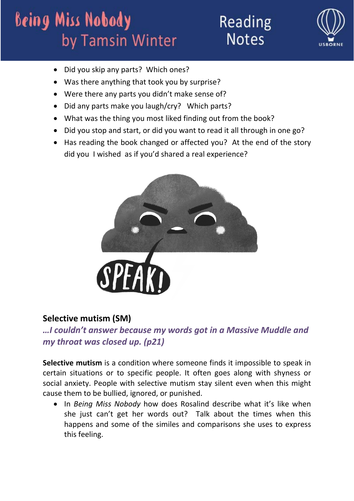Reading **Notes** 



- Did you skip any parts? Which ones?
- Was there anything that took you by surprise?
- Were there any parts you didn't make sense of?
- Did any parts make you laugh/cry? Which parts?
- What was the thing you most liked finding out from the book?
- Did you stop and start, or did you want to read it all through in one go?
- Has reading the book changed or affected you? At the end of the story did you I wished as if you'd shared a real experience?



### **Selective mutism (SM)**

*…I couldn't answer because my words got in a Massive Muddle and my throat was closed up. (p21)*

**Selective mutism** is a condition where someone finds it impossible to speak in certain situations or to specific people. It often goes along with shyness or social anxiety. People with selective mutism stay silent even when this might cause them to be bullied, ignored, or punished.

 In *Being Miss Nobody* how does Rosalind describe what it's like when she just can't get her words out? Talk about the times when this happens and some of the similes and comparisons she uses to express this feeling.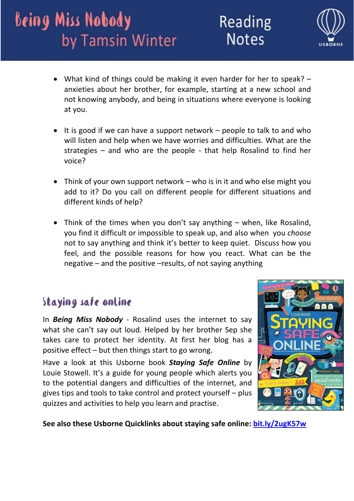

- What kind of things could be making it even harder for her to speak? anxieties about her brother, for example, starting at a new school and not knowing anybody, and being in situations where everyone is looking at you.
- It is good if we can have a support network  $-$  people to talk to and who will listen and help when we have worries and difficulties. What are the strategies – and who are the people ‐ that help Rosalind to find her voice?
- Think of your own support network who is in it and who else might you add to it? Do you call on different people for different situations and different kinds of help?
- Think of the times when you don't say anything when, like Rosalind, you find it difficult or impossible to speak up, and also when you *choose* not to say anything and think it's better to keep quiet. Discuss how you feel, and the possible reasons for how you react. What can be the negative – and the positive –results, of not saying anything

### Staying safe online

In *Being Miss Nobody* ‐ Rosalind uses the internet to say what she can't say out loud. Helped by her brother Sep she takes care to protect her identity. At first her blog has a positive effect – but then things start to go wrong.

Have a look at this Usborne book *Staying Safe Online* by Louie Stowell. It's a guide for young people which alerts you to the potential dangers and difficulties of the internet, and gives tips and tools to take control and protect yourself – plus quizzes and activities to help you learn and practise.



**See also these Usborne Quicklinks about staying safe online: bit.ly/2ugK57w**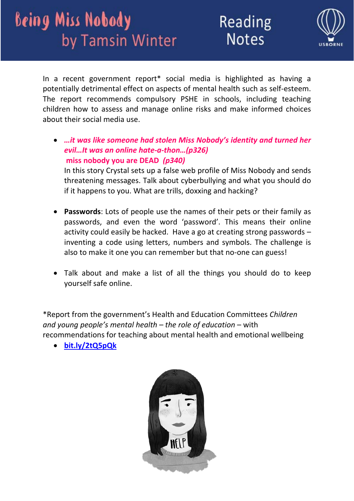



In a recent government report\* social media is highlighted as having a potentially detrimental effect on aspects of mental health such as self‐esteem. The report recommends compulsory PSHE in schools, including teaching children how to assess and manage online risks and make informed choices about their social media use.

 *…it was like someone had stolen Miss Nobody's identity and turned her evil…It was an online hate‐a‐thon…(p326)*  **miss nobody you are DEAD** *(p340)*  In this story Crystal sets up a false web profile of Miss Nobody and sends

threatening messages. Talk about cyberbullying and what you should do if it happens to you. What are trills, doxxing and hacking?

- **Passwords**: Lots of people use the names of their pets or their family as passwords, and even the word 'password'. This means their online activity could easily be hacked. Have a go at creating strong passwords – inventing a code using letters, numbers and symbols. The challenge is also to make it one you can remember but that no‐one can guess!
- Talk about and make a list of all the things you should do to keep yourself safe online.

\*Report from the government's Health and Education Committees *Children and young people's mental health – the role of education* – with recommendations for teaching about mental health and emotional wellbeing

**bit.ly/2tQ5pQk**

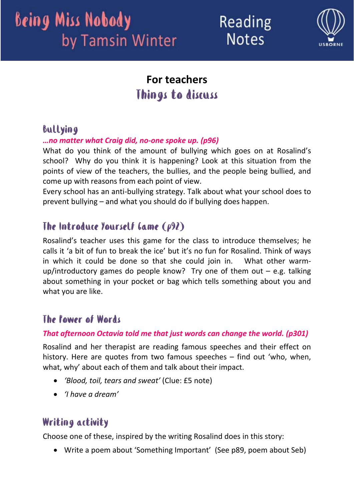Reading **Notes** 



## **For teachers** Things to discuss

### Bullying

#### *…no matter what Craig did, no‐one spoke up. (p96)*

What do you think of the amount of bullying which goes on at Rosalind's school? Why do you think it is happening? Look at this situation from the points of view of the teachers, the bullies, and the people being bullied, and come up with reasons from each point of view.

Every school has an anti‐bullying strategy. Talk about what your school does to prevent bullying – and what you should do if bullying does happen.

### The Introduce Yourself Game (p92)

Rosalind's teacher uses this game for the class to introduce themselves; he calls it 'a bit of fun to break the ice' but it's no fun for Rosalind. Think of ways in which it could be done so that she could join in. What other warmup/introductory games do people know? Try one of them out  $-$  e.g. talking about something in your pocket or bag which tells something about you and what you are like.

### The Power of Words

#### *That afternoon Octavia told me that just words can change the world. (p301)*

Rosalind and her therapist are reading famous speeches and their effect on history. Here are quotes from two famous speeches – find out 'who, when, what, why' about each of them and talk about their impact.

- *'Blood, toil, tears and sweat'* (Clue: £5 note)
- *'I have a dream'*

### Writing activity

Choose one of these, inspired by the writing Rosalind does in this story:

Write a poem about 'Something Important' (See p89, poem about Seb)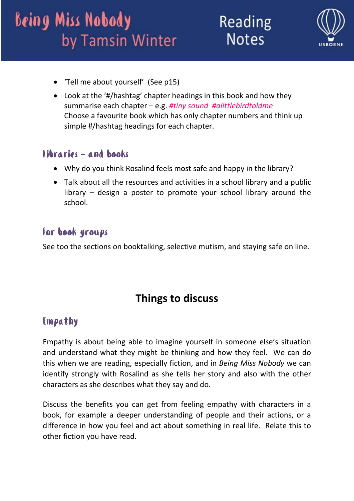Reading **Notes** 



- 'Tell me about yourself' (See p15)
- Look at the '#/hashtag' chapter headings in this book and how they summarise each chapter – e.g. *#tiny sound #alittlebirdtoldme* Choose a favourite book which has only chapter numbers and think up simple #/hashtag headings for each chapter.

### Libraries – and books

- Why do you think Rosalind feels most safe and happy in the library?
- Talk about all the resources and activities in a school library and a public library – design a poster to promote your school library around the school.

### For book groups

See too the sections on booktalking, selective mutism, and staying safe on line.

## **Things to discuss**

### Empathy

Empathy is about being able to imagine yourself in someone else's situation and understand what they might be thinking and how they feel. We can do this when we are reading, especially fiction, and in *Being Miss Nobody* we can identify strongly with Rosalind as she tells her story and also with the other characters as she describes what they say and do.

Discuss the benefits you can get from feeling empathy with characters in a book, for example a deeper understanding of people and their actions, or a difference in how you feel and act about something in real life. Relate this to other fiction you have read.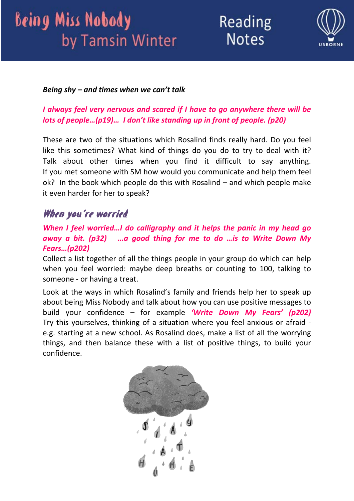Reading **Notes** 



#### *Being shy – and times when we can't talk*

#### *I always feel very nervous and scared if I have to go anywhere there will be lots of people…(p19)… I don't like standing up in front of people. (p20)*

These are two of the situations which Rosalind finds really hard. Do you feel like this sometimes? What kind of things do you do to try to deal with it? Talk about other times when you find it difficult to say anything. If you met someone with SM how would you communicate and help them feel ok? In the book which people do this with Rosalind – and which people make it even harder for her to speak?

### When you're worried

#### *When I feel worried…I do calligraphy and it helps the panic in my head go away a bit. (p32) …a good thing for me to do …is to Write Down My Fears…(p202)*

Collect a list together of all the things people in your group do which can help when you feel worried: maybe deep breaths or counting to 100, talking to someone ‐ or having a treat.

Look at the ways in which Rosalind's family and friends help her to speak up about being Miss Nobody and talk about how you can use positive messages to build your confidence – for example *'Write Down My Fears' (p202)* Try this yourselves, thinking of a situation where you feel anxious or afraid ‐ e.g. starting at a new school. As Rosalind does, make a list of all the worrying things, and then balance these with a list of positive things, to build your confidence.

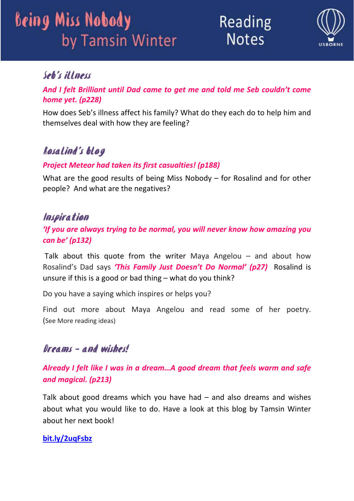Reading **Notes** 



### Seb's illness

*And I felt Brilliant until Dad came to get me and told me Seb couldn't come home yet. (p228)*

How does Seb's illness affect his family? What do they each do to help him and themselves deal with how they are feeling?

## Rosalind's blog

#### *Project Meteor had taken its first casualties! (p188)*

What are the good results of being Miss Nobody – for Rosalind and for other people? And what are the negatives?

#### Inspiration

*'If you are always trying to be normal, you will never know how amazing you can be' (p132)*

Talk about this quote from the writer Maya Angelou  $-$  and about how Rosalind's Dad says *'This Family Just Doesn't Do Normal' (p27)*  Rosalind is unsure if this is a good or bad thing – what do you think?

Do you have a saying which inspires or helps you?

Find out more about Maya Angelou and read some of her poetry. (See More reading ideas)

### Dreams – and wishes!

*Already I felt like I was in a dream…A good dream that feels warm and safe and magical. (p213)*

Talk about good dreams which you have had  $-$  and also dreams and wishes about what you would like to do. Have a look at this blog by Tamsin Winter about her next book!

#### **bit.ly/2uqFsbz**